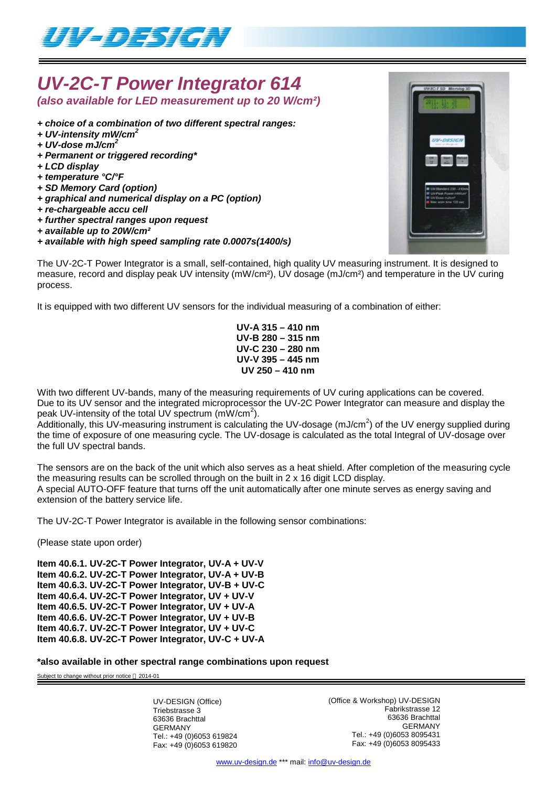

## *UV-2C-T Power Integrator 614 (also available for LED measurement up to 20 W/cm²)*

- *+ choice of a combination of two different spectral ranges:*
- *+ UV-intensity mW/cm<sup>2</sup>*
- *+ UV-dose mJ/cm<sup>2</sup>*
- *+ Permanent or triggered recording\**
- *+ LCD display*
- *+ temperature °C/°F*
- *+ SD Memory Card (option)*
- *+ graphical and numerical display on a PC (option)*
- *+ re-chargeable accu cell*
- *+ further spectral ranges upon request*
- *+ available up to 20W/cm²*
- *+ available with high speed sampling rate 0.0007s(1400/s)*

The UV-2C-T Power Integrator is a small, self-contained, high quality UV measuring instrument. It is designed to measure, record and display peak UV intensity (mW/cm²), UV dosage (mJ/cm²) and temperature in the UV curing process.

It is equipped with two different UV sensors for the individual measuring of a combination of either:

**UV-A 315 – 410 nm UV-B 280 – 315 nm UV-C 230 – 280 nm UV-V 395 – 445 nm UV 250 – 410 nm**

With two different UV-bands, many of the measuring requirements of UV curing applications can be covered. Due to its UV sensor and the integrated microprocessor the UV-2C Power Integrator can measure and display the peak UV-intensity of the total UV spectrum  $(mW/cm<sup>2</sup>)$ .

Additionally, this UV-measuring instrument is calculating the UV-dosage (mJ/cm<sup>2</sup>) of the UV energy supplied during the time of exposure of one measuring cycle. The UV-dosage is calculated as the total Integral of UV-dosage over the full UV spectral bands.

The sensors are on the back of the unit which also serves as a heat shield. After completion of the measuring cycle the measuring results can be scrolled through on the built in 2 x 16 digit LCD display. A special AUTO-OFF feature that turns off the unit automatically after one minute serves as energy saving and extension of the battery service life.

The UV-2C-T Power Integrator is available in the following sensor combinations:

(Please state upon order)

**Item 40.6.1. UV-2C-T Power Integrator, UV-A + UV-V Item 40.6.2. UV-2C-T Power Integrator, UV-A + UV-B Item 40.6.3. UV-2C-T Power Integrator, UV-B + UV-C Item 40.6.4. UV-2C-T Power Integrator, UV + UV-V Item 40.6.5. UV-2C-T Power Integrator, UV + UV-A Item 40.6.6. UV-2C-T Power Integrator, UV + UV-B Item 40.6.7. UV-2C-T Power Integrator, UV + UV-C Item 40.6.8. UV-2C-T Power Integrator, UV-C + UV-A**

**\*also available in other spectral range combinations upon request**

Subject to change without prior notice  $@$  2014-01

UV-DESIGN (Office) Triebstrasse 3 63636 Brachttal GERMANY Tel.: +49 (0)6053 619824 Fax: +49 (0)6053 619820 (Office & Workshop) UV-DESIGN Fabrikstrasse 12 63636 Brachttal GERMANY Tel.: +49 (0)6053 8095431 Fax: +49 (0)6053 8095433